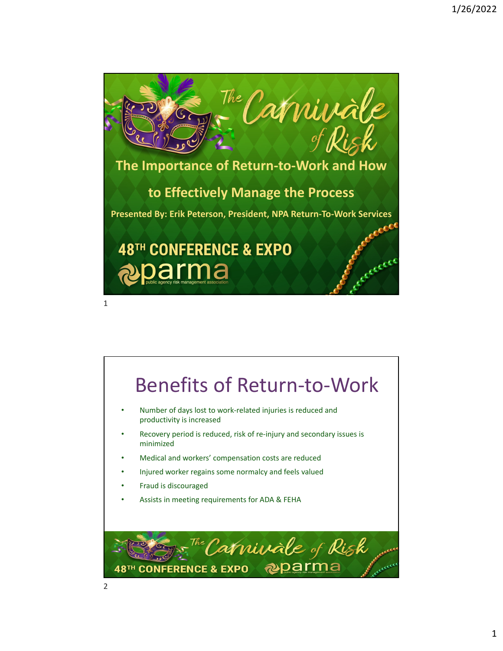

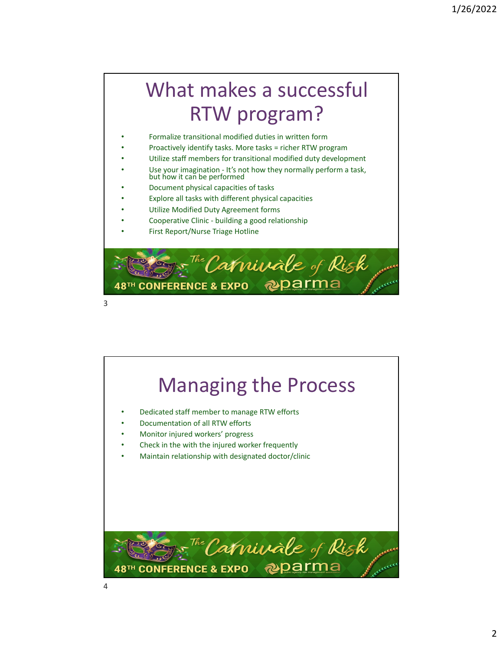## What makes a successful RTW program?

- Formalize transitional modified duties in written form
- Proactively identify tasks. More tasks = richer RTW program
- Utilize staff members for transitional modified duty development
- Use your imagination It's not how they normally perform a task, but how it can be performed
- Document physical capacities of tasks
- Explore all tasks with different physical capacities
- Utilize Modified Duty Agreement forms
- Cooperative Clinic ‐ building a good relationship
- First Report/Nurse Triage Hotline